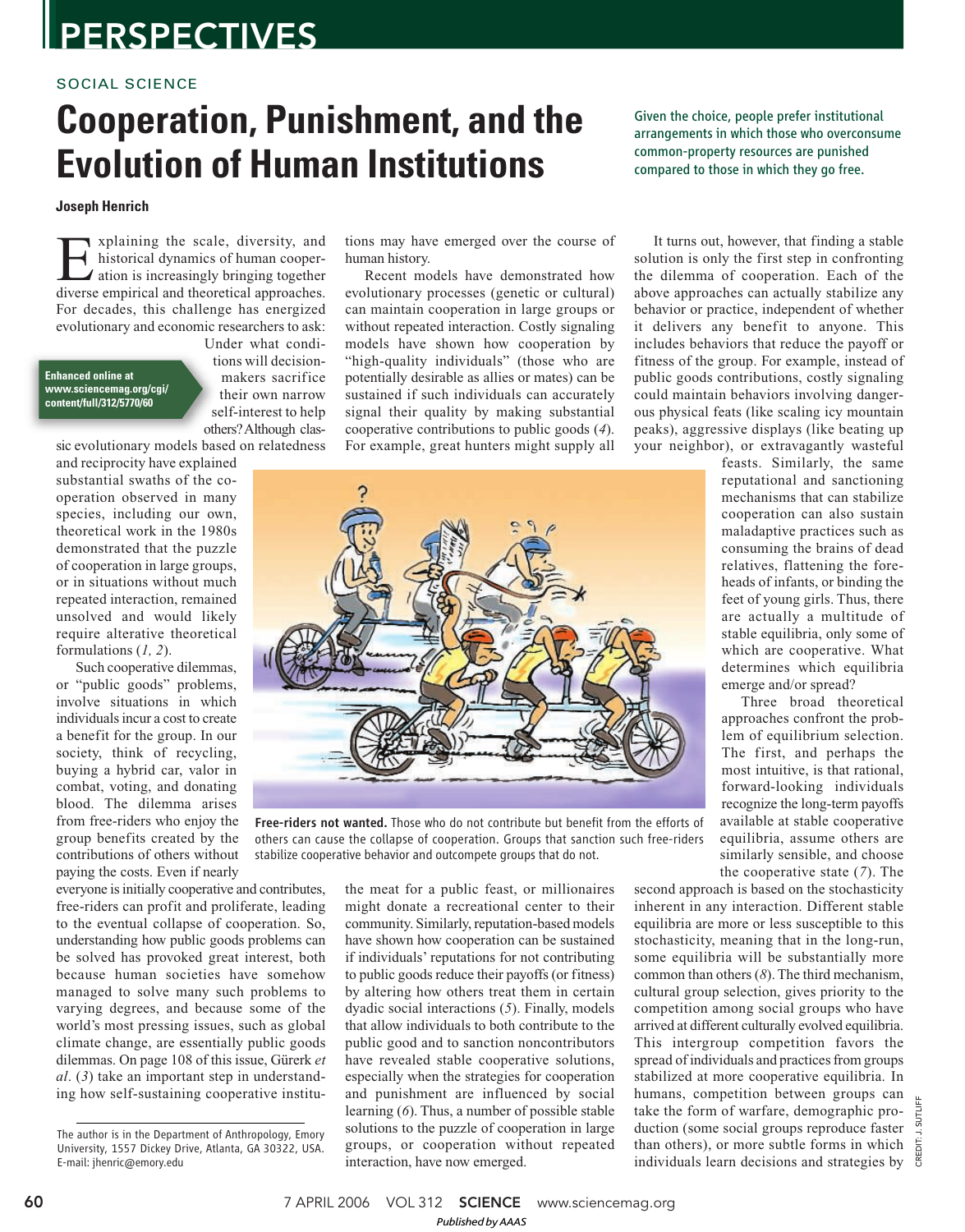## **PERSPECTIVES**

### SOCIAL SCIENCE

## **Cooperation, Punishment, and the Evolution of Human Institutions**

### **Joseph Henrich**

Evaluation of the scale, diversity, and historical dynamics of human cooperation is increasingly bringing together diverse empirical and theoretical approaches. xplaining the scale, diversity, and historical dynamics of human cooperation is increasingly bringing together For decades, this challenge has energized evolutionary and economic researchers to ask:

#### **Enhanced online at www.sciencemag.org/cgi/ content/full/312/5770/60**

Under what conditions will decisionmakers sacrifice their own narrow self-interest to help others? Although clas-

sic evolutionary models based on relatedness

and reciprocity have explained substantial swaths of the cooperation observed in many species, including our own, theoretical work in the 1980s demonstrated that the puzzle of cooperation in large groups, or in situations without much repeated interaction, remained unsolved and would likely require alterative theoretical formulations (*1, 2*).

Such cooperative dilemmas, or "public goods" problems, involve situations in which individuals incur a cost to create a benefit for the group. In our society, think of recycling, buying a hybrid car, valor in combat, voting, and donating blood. The dilemma arises from free-riders who enjoy the group benefits created by the contributions of others without paying the costs. Even if nearly

everyone is initially cooperative and contributes, free-riders can profit and proliferate, leading to the eventual collapse of cooperation. So, understanding how public goods problems can be solved has provoked great interest, both because human societies have somehow managed to solve many such problems to varying degrees, and because some of the world's most pressing issues, such as global climate change, are essentially public goods dilemmas. On page 108 of this issue, Gürerk *et al*. (*3*) take an important step in understanding how self-sustaining cooperative institutions may have emerged over the course of human history.

Recent models have demonstrated how evolutionary processes (genetic or cultural) can maintain cooperation in large groups or without repeated interaction. Costly signaling models have shown how cooperation by "high-quality individuals" (those who are potentially desirable as allies or mates) can be sustained if such individuals can accurately signal their quality by making substantial cooperative contributions to public goods (*4*). For example, great hunters might supply all Given the choice, people prefer institutional arrangements in which those who overconsume common-property resources are punished compared to those in which they go free.

It turns out, however, that finding a stable solution is only the first step in confronting the dilemma of cooperation. Each of the above approaches can actually stabilize any behavior or practice, independent of whether it delivers any benefit to anyone. This includes behaviors that reduce the payoff or fitness of the group. For example, instead of public goods contributions, costly signaling could maintain behaviors involving dangerous physical feats (like scaling icy mountain peaks), aggressive displays (like beating up your neighbor), or extravagantly wasteful

> feasts. Similarly, the same reputational and sanctioning mechanisms that can stabilize cooperation can also sustain maladaptive practices such as consuming the brains of dead relatives, flattening the foreheads of infants, or binding the feet of young girls. Thus, there are actually a multitude of stable equilibria, only some of which are cooperative. What determines which equilibria emerge and/or spread?

Three broad theoretical approaches confront the problem of equilibrium selection. The first, and perhaps the most intuitive, is that rational, forward-looking individuals recognize the long-term payoffs available at stable cooperative equilibria, assume others are similarly sensible, and choose the cooperative state (*7*). The

second approach is based on the stochasticity inherent in any interaction. Different stable equilibria are more or less susceptible to this stochasticity, meaning that in the long-run, some equilibria will be substantially more common than others (*8*). The third mechanism, cultural group selection, gives priority to the competition among social groups who have arrived at different culturally evolved equilibria. This intergroup competition favors the spread of individuals and practices from groups stabilized at more cooperative equilibria. In humans, competition between groups can take the form of warfare, demographic production (some social groups reproduce faster than others), or more subtle forms in which individuals learn decisions and strategies by



Free-riders not wanted. Those who do not contribute but benefit from the efforts of others can cause the collapse of cooperation. Groups that sanction such free-riders stabilize cooperative behavior and outcompete groups that do not.

the meat for a public feast, or millionaires might donate a recreational center to their community. Similarly, reputation-based models have shown how cooperation can be sustained if individuals' reputations for not contributing to public goods reduce their payoffs (or fitness) by altering how others treat them in certain dyadic social interactions (*5*). Finally, models that allow individuals to both contribute to the public good and to sanction noncontributors have revealed stable cooperative solutions, especially when the strategies for cooperation and punishment are influenced by social learning (*6*). Thus, a number of possible stable solutions to the puzzle of cooperation in large groups, or cooperation without repeated interaction, have now emerged.

The author is in the Department of Anthropology, Emory University, 1557 Dickey Drive, Atlanta, GA 30322, USA. E-mail: jhenric@emory.edu